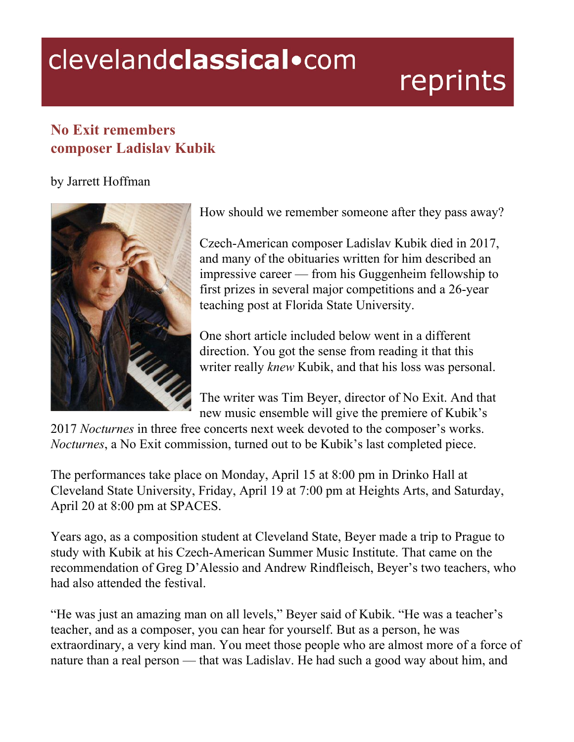## clevelandclassical.com

## reprints

## **No Exit remembers composer Ladislav Kubik**

## by Jarrett Hoffman



How should we remember someone after they pass away?

Czech-American composer Ladislav Kubik died in 2017, and many of the obituaries written for him described an impressive career — from his Guggenheim fellowship to first prizes in several major competitions and a 26-year teaching post at Florida State University.

One short article included below went in a different direction. You got the sense from reading it that this writer really *knew* Kubik, and that his loss was personal.

The writer was Tim Beyer, director of No Exit. And that new music ensemble will give the premiere of Kubik's

2017 *Nocturnes* in three free concerts next week devoted to the composer's works. *Nocturnes*, a No Exit commission, turned out to be Kubik's last completed piece.

The performances take place on Monday, April 15 at 8:00 pm in Drinko Hall at Cleveland State University, Friday, April 19 at 7:00 pm at Heights Arts, and Saturday, April 20 at 8:00 pm at SPACES.

Years ago, as a composition student at Cleveland State, Beyer made a trip to Prague to study with Kubik at his Czech-American Summer Music Institute. That came on the recommendation of Greg D'Alessio and Andrew Rindfleisch, Beyer's two teachers, who had also attended the festival.

"He was just an amazing man on all levels," Beyer said of Kubik. "He was a teacher's teacher, and as a composer, you can hear for yourself. But as a person, he was extraordinary, a very kind man. You meet those people who are almost more of a force of nature than a real person — that was Ladislav. He had such a good way about him, and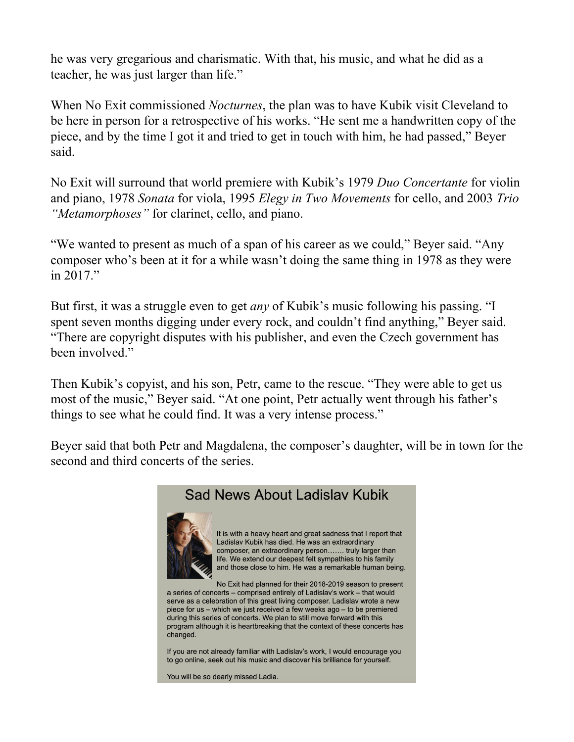he was very gregarious and charismatic. With that, his music, and what he did as a teacher, he was just larger than life."

When No Exit commissioned *Nocturnes*, the plan was to have Kubik visit Cleveland to be here in person for a retrospective of his works. "He sent me a handwritten copy of the piece, and by the time I got it and tried to get in touch with him, he had passed," Beyer said.

No Exit will surround that world premiere with Kubik's 1979 *Duo Concertante* for violin and piano, 1978 *Sonata* for viola, 1995 *Elegy in Two Movements* for cello, and 2003 *Trio "Metamorphoses"* for clarinet, cello, and piano.

"We wanted to present as much of a span of his career as we could," Beyer said. "Any composer who's been at it for a while wasn't doing the same thing in 1978 as they were in 2017."

But first, it was a struggle even to get *any* of Kubik's music following his passing. "I spent seven months digging under every rock, and couldn't find anything," Beyer said. "There are copyright disputes with his publisher, and even the Czech government has been involved."

Then Kubik's copyist, and his son, Petr, came to the rescue. "They were able to get us most of the music," Beyer said. "At one point, Petr actually went through his father's things to see what he could find. It was a very intense process."

Beyer said that both Petr and Magdalena, the composer's daughter, will be in town for the second and third concerts of the series.



It is with a heavy heart and great sadness that I report that Ladislav Kubik has died. He was an extraordinary composer, an extraordinary person....... truly larger than life. We extend our deepest felt sympathies to his family and those close to him. He was a remarkable human being.

No Exit had planned for their 2018-2019 season to present a series of concerts - comprised entirely of Ladislav's work - that would serve as a celebration of this great living composer. Ladislav wrote a new piece for us - which we just received a few weeks ago - to be premiered during this series of concerts. We plan to still move forward with this program although it is heartbreaking that the context of these concerts has changed.

If you are not already familiar with Ladislav's work, I would encourage you to go online, seek out his music and discover his brilliance for yourself.

You will be so dearly missed Ladia.